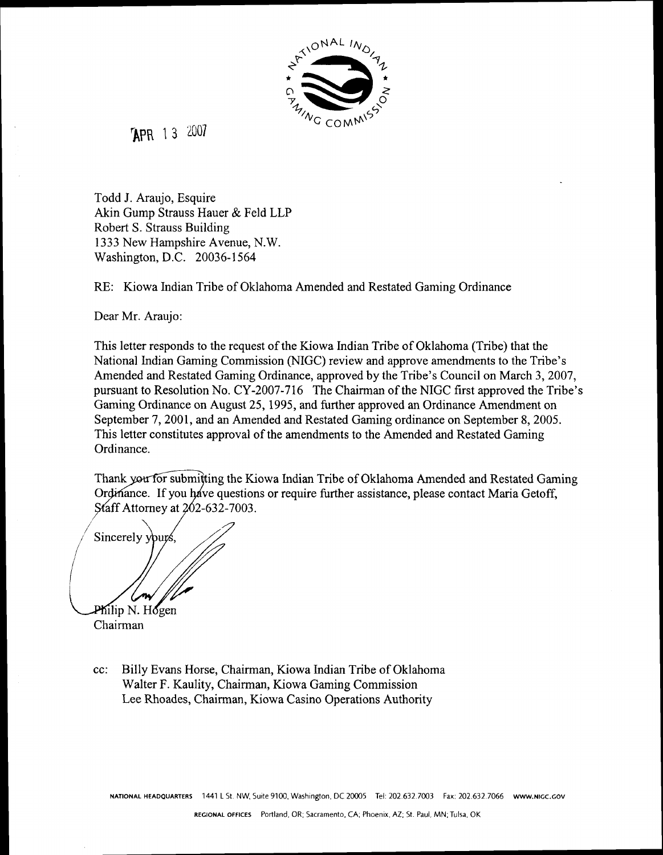

TAPR 13 2007

Todd J. Araujo, Esquire Akin Gump Strauss Hauer & Feld LLP Robert S. Strauss Building 1333 New Hampshire Avenue, N.W. Washington, D.C. 20036-1 564

RE: Kiowa Indian Tribe of Oklahoma Amended and Restated Gaming Ordinance

Dear Mr. Araujo:

This letter responds to the request of the Kiowa Indian Tribe of Oklahoma (Tribe) that the National Indian Gaming Commission (NIGC) review and approve amendments to the Tribe's Amended and Restated Gaming Ordinance, approved by the Tribe's Council on March 3, 2007, pursuant to Resolution No. CY-2007-716 The Chairman of the NIGC first approved the Tribe's Gaming Ordinance on August 25,1995, and further approved an Ordinance Amendment on September 7,2001, and an Amended and Restated Gaming ordinance on September 8,2005. This letter constitutes approval of the amendments to the Amended and Restated Gaming Ordinance.

Thank you for submitting the Kiowa Indian Tribe of Oklahoma Amended and Restated Gaming Ordinance. If you have questions or require further assistance, please contact Maria Getoff, Staff Attorney at 202-632-7003.

Sincerely yours Philip N. Hogen

Chairman

cc: Billy Evans Horse, Chairman, Kiowa Indian Tribe of Oklahoma Walter F. Kaulity, Chairman, Kiowa Gaming Commission Lee Rhoades, Chairman, Kiowa Casino Operations Authority

**NATIONAL HEADQUARTERS** 1441 L St. NW, Suite 9100. Washington. DC **20005** Tel: 202.632.7003 Fax: 202.632.7066 **WWW.NlGC.GOV**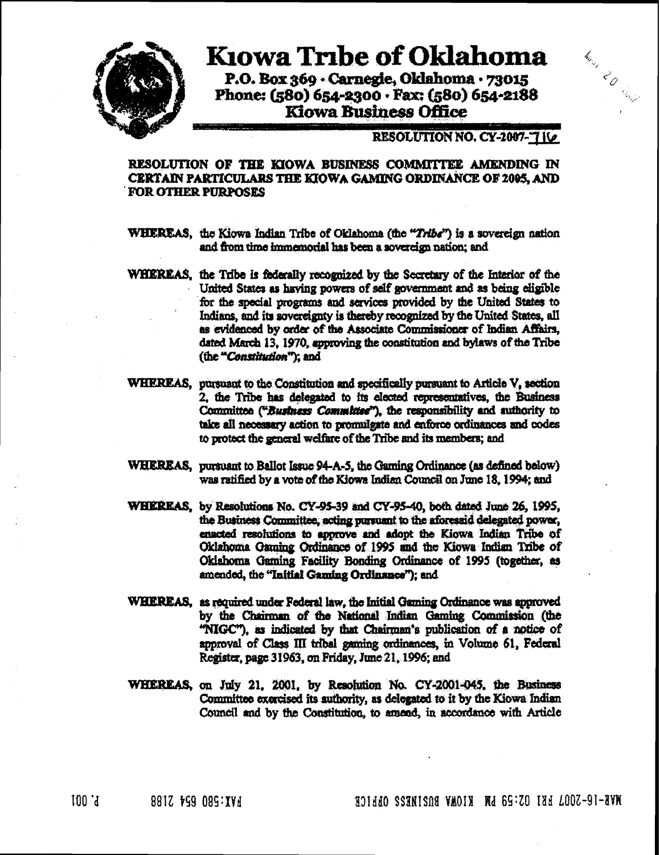

# **Kiowa Tribe of Oklahoma**

P.O. Box 369 · Carnegie, Oklahoma · 73015 Phone: (580) 654-2300 · Fax: (580) 654-2188 **Klowa Business Office** 

# RESOLUTION NO. CY-2007-7110

Main 20 dens

## RESOLUTION OF THE KIOWA BUSINESS COMMITTEE AMENDING IN **CERTAIN PARTICULARS THE KIOWA GAMING ORDINANCE OF 2005. AND FOR OTHER PURPOSES**

WHEREAS, the Kiowa Indian Tribe of Oklahoma (the "Tribe") is a sovereign nation and from time immemorial has been a sovereign nation; and

- WHEREAS, the Tribe is federally recognized by the Secretary of the Interior of the United States as having powers of self government and as being eligible for the special programs and services provided by the United States to Indians, and its sovereignty is thereby recognized by the United States, all as evidenced by order of the Associate Commissioner of Indian Affairs, dated March 13, 1970, approving the constitution and bylaws of the Tribe (the "Constitution"); and
- WHEREAS, pursuant to the Constitution and specifically pursuant to Article V, section 2. the Tribe has delegated to its elected representatives, the Business Committee ("Business Committee"), the responsibility and authority to take all necessary action to promulgate and enforce ordinances and codes to protect the general welfare of the Tribe and its members; and
- WHEREAS, pursuant to Ballot Issue 94-A-5, the Gaming Ordinance (as defined below) was ratified by a vote of the Kiowa Indian Council on June 18, 1994; and
- WHEREAS, by Resolutions No. CY-95-39 and CY-95-40, both dated June 26, 1995. the Business Committee, acting pursuant to the aforesaid delegated power, enacted resolutions to approve and adopt the Kiowa Indian Tribe of Oklahoma Gaming Ordinance of 1995 and the Kiowa Indian Tribe of Oklahoma Gaming Facility Bonding Ordinance of 1995 (together, as amended, the "Initial Gaming Ordinance"); and
- WHEREAS, as required under Federal law, the Initial Gaming Ordinance was approved by the Chairman of the National Indian Gaming Commission (the "NIGC"), as indicated by that Chairman's publication of a notice of approval of Class III tribal gaming ordinances, in Volume 61, Federal Register, page 31963, on Friday, June 21, 1996; and
- WHEREAS, on July 21, 2001, by Resolution No. CY-2001-045, the Business Committee exercised its authority, as delegated to it by the Kiowa Indian Council and by the Constitution, to amend, in accordance with Article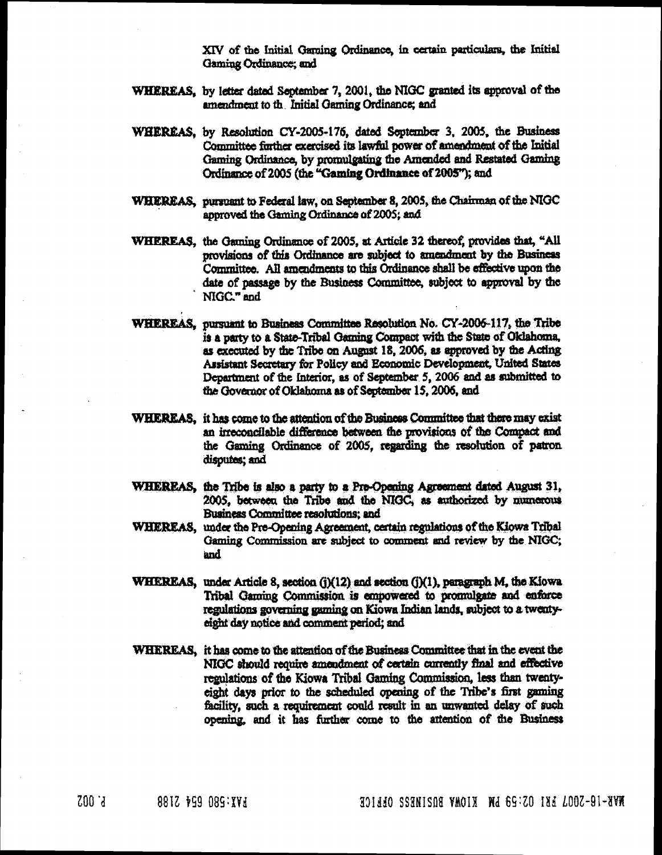XIV of the Initial Gaming Ordinance, in certain particulars, the Initial Gaming Ordinance; and

- WHEREAS, by letter dated September 7, 2001, the NIGC granted its approval of the amendment to the Initial Gaming Ordinance; and
- WHEREAS, by Resolution CY-2005-176, dated September 3, 2005, the Business Committee further exercised its lawful power of amendment of the Initial Gaming Ordinance, by promulgating the Amended and Restated Gaming Ordinance of 2005 (the "Gaming Ordinance of 2005"); and
- WHEREAS, pursuant to Federal law, on September 8, 2005, the Chairman of the NIGC approved the Gaming Ordinance of 2005; and
- WHEREAS, the Gaming Ordinance of 2005, at Article 32 thereof, provides that, "All provisions of this Ordinance are subject to amendment by the Business Committee. All amendments to this Ordinance shall be effective upon the date of passage by the Business Committee, subject to approval by the NIGC." and
- WHEREAS, pursuant to Business Committee Resolution No. CY-2006-117, the Tribe is a party to a State-Tribal Gaming Compact with the State of Oklahoma, as executed by the Tribe on August 18, 2006, as approved by the Acting Assistant Secretary for Policy and Economic Development, United States Department of the Interior, as of September 5, 2006 and as submitted to the Governor of Oklahoma as of September 15, 2006, and
- WHEREAS, it has come to the attention of the Business Committee that there may exist an irreconcilable difference between the provisions of the Compact and the Gaming Ordinance of 2005, regarding the resolution of patron disputes; and
- WHEREAS, the Tribe is also a party to a Pre-Opening Agreement dated August 31, 2005, between the Tribe and the NIGC, as authorized by numerous Business Committee resolutions; and
- WHEREAS, under the Pre-Opening Agreement, certain regulations of the Kiowa Tribal Gaming Commission are subject to comment and review by the NIGC; and
- WHEREAS, under Article 8, section (j)(12) and section (j)(1), paragraph M, the Kiowa Tribal Gaming Commission is empowered to promulgate and enforce regulations governing gaming on Kiowa Indian lands, subject to a twentyeight day notice and comment period; and
- WHEREAS, it has come to the attention of the Business Committee that in the event the NIGC should require amendment of certain currently final and effective regulations of the Kiowa Tribal Gaming Commission, less than twentyeight days prior to the scheduled opening of the Tribe's first gaming facility, such a requirement could result in an unwanted delay of such opening, and it has further come to the attention of the Business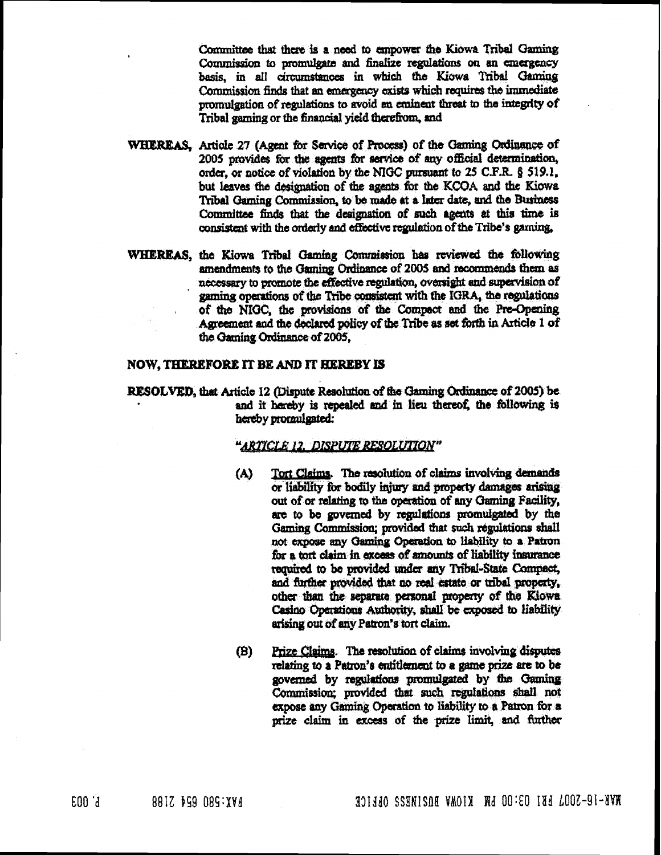Committee that there is a need to empower the Kiowa Tribal Gaming Commission to promulgate and finalize regulations on an emergency basis, in all circumstances in which the Kiowa Tribal Garming Commission finds that an emergency exists which requires the immediate promulgation of regulations to avoid an eminent threat to the integrity of Tribal gaming or the financial vield therefrom, and

- WHEREAS. Article 27 (Agent for Service of Process) of the Garning Ordinance of 2005 provides for the agents for service of any official determination, order, or notice of violation by the NIGC pursuant to 25 C.F.R. § 519.1, but leaves the designation of the agents for the KCOA and the Kiowa Tribal Gaming Commission, to be made at a later date, and the Business Committee finds that the designation of such agents at this time is consistent with the orderly and effective regulation of the Tribe's gaming.
- WHEREAS, the Kiowa Tribal Gaming Commission has reviewed the following amendments to the Gaming Ordinance of 2005 and recommends them as necessary to promote the effective regulation, oversight and supervision of gaming operations of the Tribe consistent with the IGRA, the regulations of the NIGC, the provisions of the Compact and the Pre-Opening Agreement and the declared policy of the Tribe as set forth in Article 1 of the Gaming Ordinance of 2005,

## NOW. THEREFORE IT BE AND IT HEREBY IS

RESOLVED, that Article 12 (Dispute Resolution of the Garning Ordinance of 2005) be and it hereby is repealed and in lieu thereof, the following is hereby promulgated:

#### "ARTICLE 12. DISPUTE RESOLUTION"

- Tort Claims. The resolution of claims involving demands  $(A)$ or liability for bodily injury and property damages arising out of or relating to the operation of any Gaming Facility. are to be governed by regulations promulgated by the Gaming Commission; provided that such regulations shall not expose any Gaming Operation to liability to a Patron for a tort claim in excess of amounts of liability insurance required to be provided under any Tribal-State Compact, and further provided that no real estate or tribal property, other than the separate personal property of the Kiowa Casino Operations Authority, shall be exposed to liability arising out of any Patron's tort claim.
- Prize Claims. The resolution of claims involving disputes (B) relating to a Patron's entitlement to a game prize are to be governed by regulations promulgated by the Gaming Commission: provided that such regulations shall not expose any Gaming Operation to liability to a Patron for a prize claim in excess of the prize limit, and further

MAR-10-SOOL EE1 CO.CO FM VAN BUSINES OPENED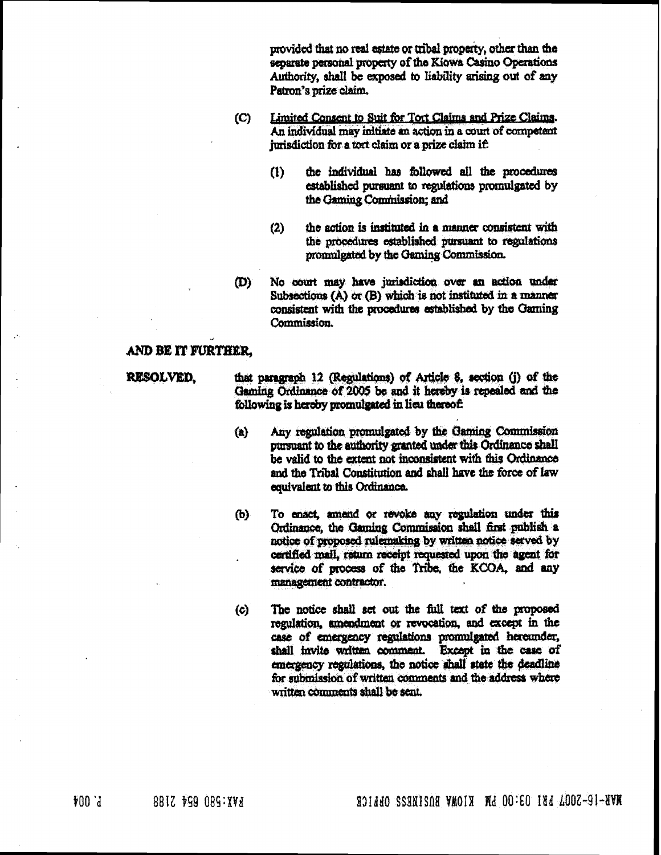provided that no real estate or tribal property, other than the separate personal property of the Kiowa Casino Operations Authority, shall be exposed to liability arising out of any Patron's prize claim.

- $(C)$ Limited Consent to Suit for Tort Claims and Prize Claims. An individual may initiate an action in a court of competent jurisdiction for a tort claim or a prize claim if:
	- $(1)$ the individual has followed all the procedures established pursuant to regulations promulgated by the Gaming Commission: and
	- the action is instituted in a manner consistent with  $(2)$ the procedures established pursuant to regulations pronulgated by the Gaming Commission.
- መነ No court may have jurisdiction over an action under Subsections  $(A)$  or  $(B)$  which is not instituted in a manner consistent with the procedures established by the Gaming Commission.

# AND BE IT FURTHER.

**RESOLVED.** 

that paragraph 12 (Regulations) of Article 8, section (j) of the Gaming Ordinance of 2005 be and it hereby is repealed and the following is hereby promulgated in lieu thereof:

- Any regulation promulgated by the Gaming Commission  $(a)$ pinsuant to the authority granted under this Ordinance shall be valid to the extent not inconsistent with this Ordinance and the Tribal Constitution and shall have the force of law equivalent to this Ordinance.
- To enact, amend or revoke any regulation under this (b) Ordinance, the Gaming Commission shall first publish a notice of proposed rulemaking by written notice served by certified mail, return receipt requested upon the agent for service of process of the Tribe, the KCOA, and any management contractor.
- The notice shall set out the full text of the proposed (c) regulation, amendment or revocation, and except in the case of emergency regulations promulgated hereunder, shall invite written comment. Except in the case of emergency regulations, the notice shall state the deadline for submission of written comments and the address where written comments shall be sent.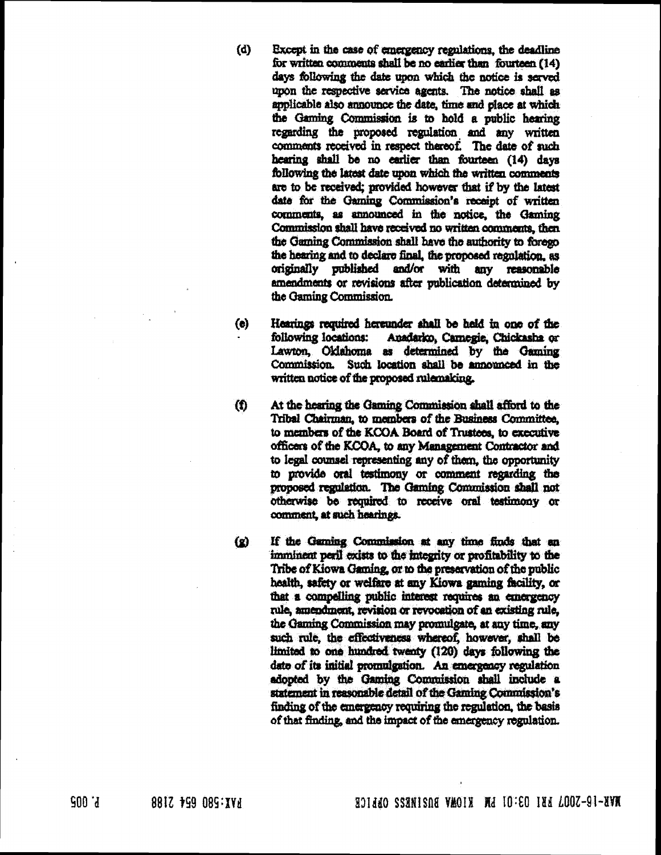- $(d)$ Except in the case of emergency regulations, the deadline for written comments shall be no earlier than fourteen (14) days following the date upon which the notice is served upon the respective service agents. The notice shall as applicable also announce the date, time and place at which the Gaming Commission is to hold a public hearing regarding the proposed regulation and any written comments received in respect thereof. The date of such hearing shall be no earlier than fourteen (14) days following the latest date upon which the written comments are to be received; provided however that if by the latest date for the Gaming Commission's receipt of written comments, as announced in the notice, the Gamino Commission shall have received no written comments, then the Gaming Commission shall have the authority to forego the hearing and to declare final, the proposed regulation, as originally published and/or with any reasonable amendments or revisions after publication determined by the Gaming Commission.
- $(e)$ Hearings required hereunder shall be held in one of the following locations: Anadarko, Carnegie, Chickasha or Lawton. Oklahoma as determined by the Gaming Commission. Such location shall be announced in the written notice of the proposed rulemaking.
- $\mathbf{f}$ At the hearing the Gaming Commission shall afford to the Tribal Chairman, to members of the Business Committee, to members of the KCOA Board of Trustees, to executive officers of the KCOA, to any Management Contractor and to legal counsel representing any of them, the opportunity to provide oral testimony or comment regarding the proposed regulation. The Gaming Commission shall not otherwise be required to receive oral testimony or comment at such hearings.
- If the Gaming Commission at any time finds that an  $\Omega$ imminent peril exists to the integrity or profitability to the Tribe of Kiowa Gaming, or to the preservation of the public health, safety or welfare at any Kiowa gaming facility, or that a compelling public interest requires an emergency rule, amendment, revision or revocation of an existing rule, the Gaming Commission may promulgate, at any time, any such rule, the effectiveness whereof, however, shall be limited to one hundred twenty (120) days following the date of its initial promulgation. An emergency regulation adopted by the Gaming Commission shall include a statement in reasonable detail of the Gaming Commission's finding of the emergency requiring the regulation, the basis of that finding, and the impact of the emergency regulation.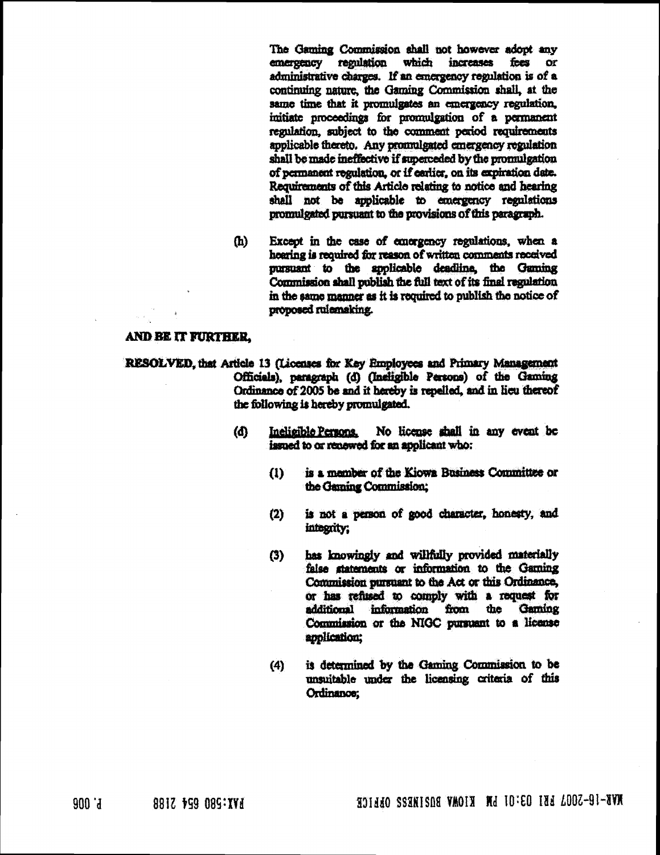The Gaming Commission shall not however adopt any emergency regulation which increases fees or administrative charges. If an emergency regulation is of a continuing nature, the Gaming Commission shall, at the same time that it promulgates an emergency regulation, imitiate proceedings for promulgation of a permanent regulation, subject to the comment period requirements applicable thereto. Any promulgated emergency regulation shall be made ineffective if superceded by the promulgation of permanent regulation, or if earlier, on its expiration date. Requirements of this Article relating to notice and hearing shall not be applicable to emergency regulations promulgated pursuant to the provisions of this paragraph.

 $(h)$ Except in the case of emergency regulations, when a hearing is required for reason of written comments received pursuant to the applicable deadline, the Gaming Commission shall publish the full text of its final regulation in the same manner as it is required to publish the notice of proposed rulemaking.

#### AND BE IT FURTHER.

- RESOLVED, that Article 13 (Licenses for Key Employees and Primary Management Officials), paragraph (d) (Incligible Persons) of the Gaming Ordinance of 2005 be and it hereby is repelled, and in lieu thereof the following is hereby promulgated.
	- (d) Incligible Persons No license shall in any event be issued to or renewed for an apolicant who:
		- is a member of the Kiowa Business Committee or  $\Omega$ the Gaming Commission;
		- is not a person of good character, honesty, and  $(2)$ integrity:
		- has knowingly and willfully provided materially  $(3)$ false statements or information to the Garning Commission pursuant to the Act or this Ordinance, or has refused to comply with a request for additional information from the Gaming Commission or the NIGC pursuant to a license application;
		- is determined by the Gaming Commission to be  $(4)$ unsuitable under the licensing criteria of this Ordinance: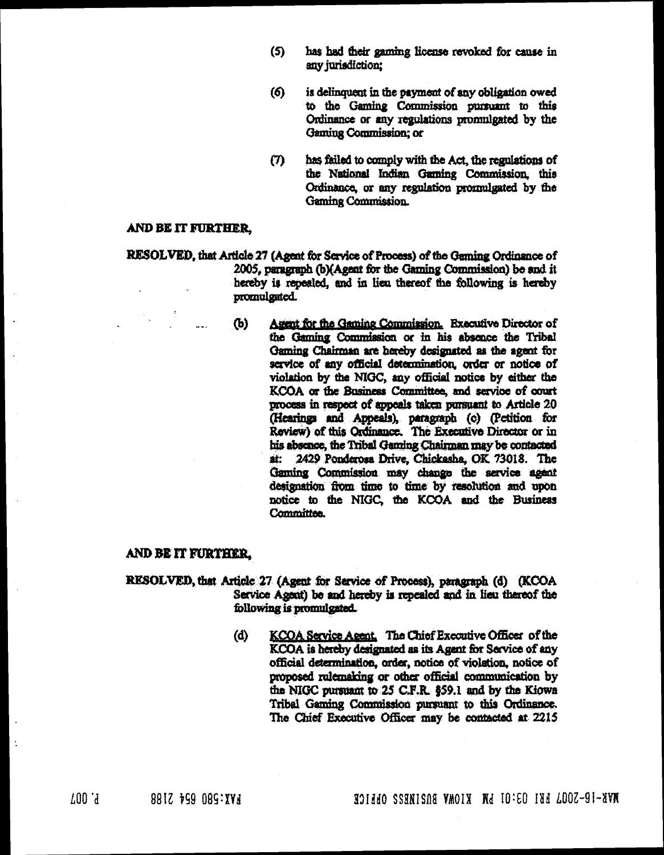- $(5)$ has had their gaming license revoked for cause in any jurisdiction;
- $(6)$ is delinquent in the payment of any obligation owed to the Gaming Commission pursuant to this Ordinance or any regulations promulgated by the Gaming Commission; or
- has failed to comply with the Act, the regulations of  $(T)$ the National Indian Gaming Commission, this Ordinance, or any regulation promulgated by the **Gaming Commission**

## AND BE IT FURTHER.

- RESOLVED, that Article 27 (Agent for Service of Process) of the Gaming Ordinance of 2005, paragraph (b)(Agent for the Gaming Commission) be and it hereby is repealed, and in lieu thereof the following is hereby promulgated.
	- $(b)$ Agent for the Gaming Commission. Executive Director of the Gaming Commission or in his absence the Tribal Gaming Chairman are hereby designated as the agent for service of any official determination, order or notice of violation by the NIGC, any official notice by either the KCOA or the Basiness Committee, and service of court process in respect of appeals taken pursuant to Article 20 (Hearings and Appeals), paragraph (c) (Petition for Review) of this Ordinance. The Executive Director or in his absence, the Tribal Gaming Chairman may be contacted at: 2429 Ponderosa Drive, Chickasha, OK 73018. The Gaming Commission may change the service agent designation from time to time by resolution and upon notice to the NIGC, the KCOA and the Business Committee.

#### AND BE IT FURTHER.

- RESOLVED, that Article 27 (Agent for Service of Process), paragraph (d) (KCOA Service Agent) be and hereby is repealed and in lieu thereof the following is promulgated.
	- KCOA Service Agent. The Chief Executive Officer of the  $(d)$ KCOA is hereby designated as its Agent for Service of any official determination, order, notice of violation, notice of proposed rulemaking or other official communication by the NIGC pursuant to 25 C.F.R. §59.1 and by the Kiowa Tribal Gaming Commission pursuant to this Ordinance. The Chief Executive Officer may be contacted at 2215

 $\overline{1}$